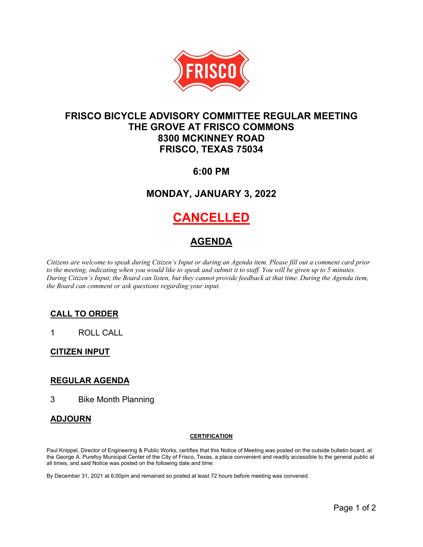

## **FRISCO BICYCLE ADVISORY COMMITTEE REGULAR MEETING THE GROVE AT FRISCO COMMONS 8300 MCKINNEY ROAD FRISCO, TEXAS 75034**

## **6:00 PM**

## **MONDAY, JANUARY 3, 2022**

# **CANCELLED**

## **AGENDA**

*Citizens are welcome to speak during Citizen's Input or during an Agenda item. Please fill out a comment card prior*  to the meeting, indicating when you would like to speak and submit it to staff. You will be given up to 5 minutes. *During Citizen's Input, the Board can listen, but they cannot provide feedback at that time. During the Agenda item, the Board can comment or ask questions regarding your input.*

### **CALL TO ORDER**

1 ROLL CALL

### **CITIZEN INPUT**

### **REGULAR AGENDA**

3 Bike Month Planning

### **ADJOURN**

#### **CERTIFICATION**

Paul Knippel, Director of Engineering & Public Works, certifies that this Notice of Meeting was posted on the outside bulletin board, at the George A. Purefoy Municipal Center of the City of Frisco, Texas, a place convenient and readily accessible to the general public at all times, and said Notice was posted on the following date and time:

By December 31, 2021 at 6:00pm and remained so posted at least 72 hours before meeting was convened.